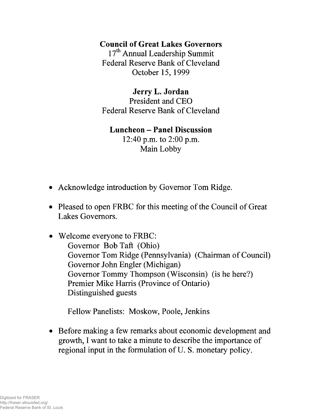### **Council of Great Lakes Governors**

17<sup>th</sup> Annual Leadership Summit Federal Reserve Bank of Cleveland October 15, 1999

**Jerry L. Jordan** President and CEO Federal Reserve Bank of Cleveland

### **Luncheon - Panel Discussion**

12:40 p.m. to 2:00 p.m. Main Lobby

- Acknowledge introduction by Governor Tom Ridge.
- Pleased to open FRBC for this meeting of the Council of Great Lakes Governors.
- Welcome everyone to FRBC: Governor Bob Taft (Ohio) Governor Tom Ridge (Pennsylvania) (Chairman of Council) Governor John Engler (Michigan) Governor Tommy Thompson (Wisconsin) (is he here?) Premier Mike Harris (Province of Ontario) Distinguished guests

Fellow Panelists: Moskow, Poole, Jenkins

• Before making a few remarks about economic development and growth, I want to take a minute to describe the importance of regional input in the formulation of U. S. monetary policy.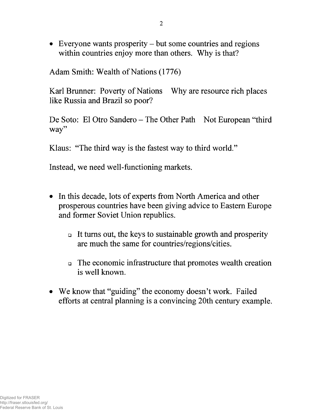• Everyone wants prosperity – but some countries and regions within countries enjoy more than others. Why is that?

Adam Smith: Wealth of Nations (1776)

Karl Brunner: Poverty of Nations Why are resource rich places like Russia and Brazil so poor?

De Soto: El Otro Sandero - The Other Path Not European "third way"

Klaus: "The third way is the fastest way to third world."

Instead, we need well-functioning markets.

- In this decade, lots of experts from North America and other prosperous countries have been giving advice to Eastern Europe and former Soviet Union republics.
	- □ It turns out, the keys to sustainable growth and prosperity are much the same for countries/regions/cities.
	- □ The economic infrastructure that promotes wealth creation is well known.
- We know that "guiding" the economy doesn't work. Failed efforts at central planning is a convincing 20th century example.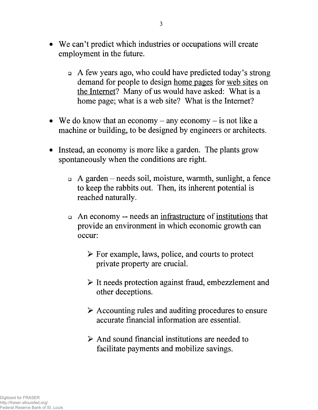- We can't predict which industries or occupations will create employment in the future.
	- □ A few years ago, who could have predicted today's strong demand for people to design home pages for web sites on the Internet? Many of us would have asked: What is a home page; what is a web site? What is the Internet?
- We do know that an economy any economy is not like a machine or building, to be designed by engineers or architects.
- Instead, an economy is more like a garden. The plants grow spontaneously when the conditions are right.
	- $\Box$  A garden needs soil, moisture, warmth, sunlight, a fence to keep the rabbits out. Then, its inherent potential is reached naturally.
	- □ An economy needs an infrastructure of institutions that provide an environment in which economic growth can occur:
		- $\triangleright$  For example, laws, police, and courts to protect private property are crucial.
		- > It needs protection against fraud, embezzlement and other deceptions.
		- > Accounting rules and auditing procedures to ensure accurate financial information are essential.
		- $\triangleright$  And sound financial institutions are needed to facilitate payments and mobilize savings.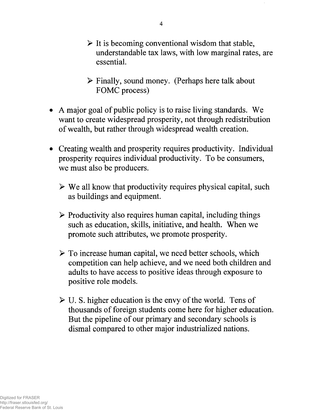- $\triangleright$  It is becoming conventional wisdom that stable, understandable tax laws, with low marginal rates, are essential.
- > Finally, sound money. (Perhaps here talk about FOMC process)
- A major goal of public policy is to raise living standards. We want to create widespread prosperity, not through redistribution of wealth, but rather through widespread wealth creation.
- Creating wealth and prosperity requires productivity. Individual prosperity requires individual productivity. To be consumers, we must also be producers.
	- $\triangleright$  We all know that productivity requires physical capital, such as buildings and equipment.
	- $\triangleright$  Productivity also requires human capital, including things such as education, skills, initiative, and health. When we promote such attributes, we promote prosperity.
	- $\triangleright$  To increase human capital, we need better schools, which competition can help achieve, and we need both children and adults to have access to positive ideas through exposure to positive role models.
	- $\triangleright$  U. S. higher education is the envy of the world. Tens of thousands of foreign students come here for higher education. But the pipeline of our primary and secondary schools is dismal compared to other major industrialized nations.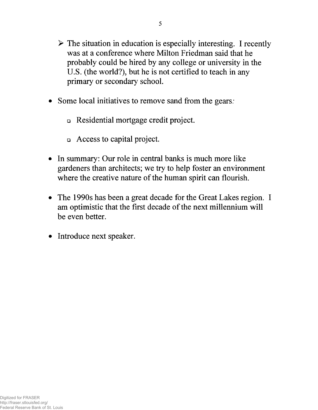- $\triangleright$  The situation in education is especially interesting. I recently was at a conference where Milton Friedman said that he probably could be hired by any college or university in the U.S. (the world?), but he is not certified to teach in any primary or secondary school.
- Some local initiatives to remove sand from the gears:
	- □ Residential mortgage credit project.
	- □ Access to capital project.
- In summary: Our role in central banks is much more like gardeners than architects; we try to help foster an environment where the creative nature of the human spirit can flourish.
- The 1990s has been a great decade for the Great Lakes region. I am optimistic that the first decade of the next millennium will be even better.
- Introduce next speaker.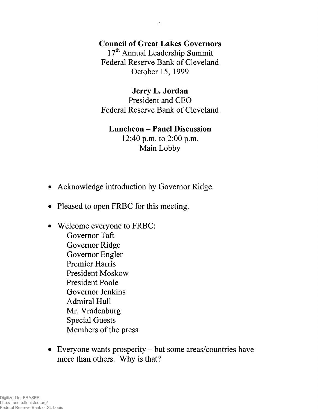### **Council of Great Lakes Governors**

17<sup>th</sup> Annual Leadership Summit Federal Reserve Bank of Cleveland October 15, 1999

### **Jerry L. Jordan**

President and CEO Federal Reserve Bank of Cleveland

#### **Luncheon - Panel Discussion**

12:40 p.m. to 2:00 p.m. Main Lobby

- Acknowledge introduction by Governor Ridge.
- Pleased to open FRBC for this meeting.
- Welcome everyone to FRBC: Governor Taft Governor Ridge Governor Engler Premier Harris President Moskow President Poole Governor Jenkins Admiral Hull Mr. Vradenburg Special Guests Members of the press
- Everyone wants prosperity but some areas/countries have more than others. Why is that?

1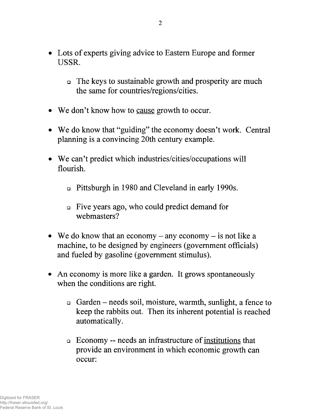- Lots of experts giving advice to Eastern Europe and former **USSR.**
	- □ The keys to sustainable growth and prosperity are much the same for countries/regions/cities.
- We don't know how to cause growth to occur.
- We do know that "guiding" the economy doesn't work. Central planning is a convincing 20th century example.
- We can't predict which industries/cities/occupations will flourish.
	- □ Pittsburgh in 1980 and Cleveland in early 1990s.
	- □ Five years ago, who could predict demand for webmasters?
- We do know that an economy  $-$  any economy  $-$  is not like a machine, to be designed by engineers (government officials) and fueled by gasoline (government stimulus).
- An economy is more like a garden. It grows spontaneously when the conditions are right.
	- □ Garden needs soil, moisture, warmth, sunlight, a fence to keep the rabbits out. Then its inherent potential is reached automatically.
	- □ Economy needs an infrastructure of institutions that provide an environment in which economic growth can occur: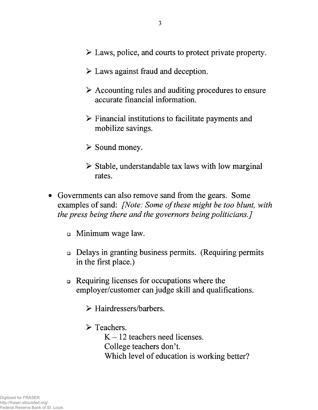- > Laws, police, and courts to protect private property.
- $\triangleright$  Laws against fraud and deception.
- > Accounting rules and auditing procedures to ensure accurate financial information.
- $\triangleright$  Financial institutions to facilitate payments and mobilize savings.
- > Sound money.
- $\triangleright$  Stable, understandable tax laws with low marginal rates.
- Governments can also remove sand from the gears. Some examples of sand: *[Note: Some of these might be too blunt, with the press being there and the governors being politicians.]*
	- □ Minimum wage law.
	- □ Delays in granting business permits. (Requiring permits in the first place.)
	- □ Requiring licenses for occupations where the employer/customer can judge skill and qualifications.
		- > Hairdressers/barbers.
		- > Teachers.

 $K - 12$  teachers need licenses. College teachers don't. Which level of education is working better?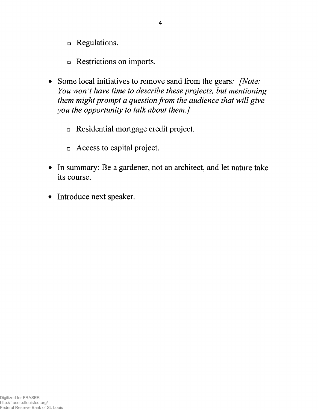- □ Regulations.
- □ Restrictions on imports.
- Some local initiatives to remove sand from the gears: *[Note: You won't have time to describe these projects, but mentioning them might prompt a question from the audience that will give you the opportunity to talk about them.]*
	- □ Residential mortgage credit project.
	- □ Access to capital project.
- In summary: Be a gardener, not an architect, and let nature take its course.
- Introduce next speaker.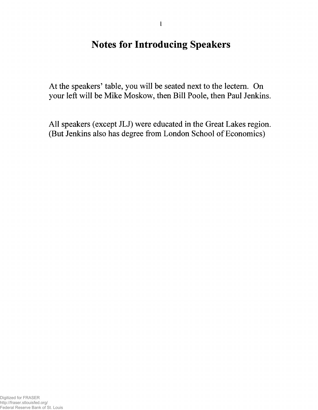# **Notes for Introducing Speakers**

At the speakers' table, you will be seated next to the lectern. On your left will be Mike Moskow, then Bill Poole, then Paul Jenkins.

All speakers (except JLJ) were educated in the Great Lakes region. (But Jenkins also has degree from London School of Economics)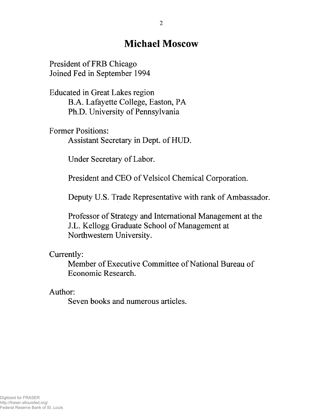# **Michael Moscow**

President of FRB Chicago Joined Fed in September 1994

Educated in Great Lakes region B.A. Lafayette College, Easton, PA Ph.D. University of Pennsylvania

Former Positions: Assistant Secretary in Dept, of HUD.

Under Secretary of Labor.

President and CEO of Velsicol Chemical Corporation.

Deputy U.S. Trade Representative with rank of Ambassador.

Professor of Strategy and International Management at the J.L. Kellogg Graduate School of Management at Northwestern University.

Currently:

Member of Executive Committee of National Bureau of Economic Research.

Author:

Seven books and numerous articles.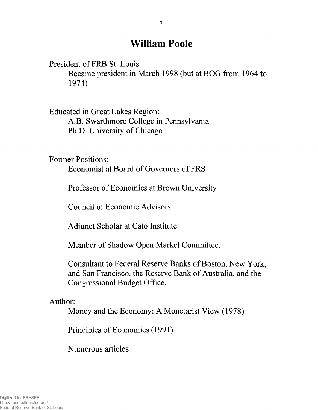# **William Poole**

President of FRB St. Louis

Became president in March 1998 (but at BOG from 1964 to 1974)

Educated in Great Lakes Region: A.B. Swarthmore College in Pennsylvania Ph.D. University of Chicago

Former Positions:

Economist at Board of Governors of FRS

Professor of Economics at Brown University

Council of Economic Advisors

Adjunct Scholar at Cato Institute

Member of Shadow Open Market Committee.

Consultant to Federal Reserve Banks of Boston, New York, and San Francisco, the Reserve Bank of Australia, and the Congressional Budget Office.

Author:

Money and the Economy: A Monetarist View (1978)

Principles of Economics (1991)

Numerous articles